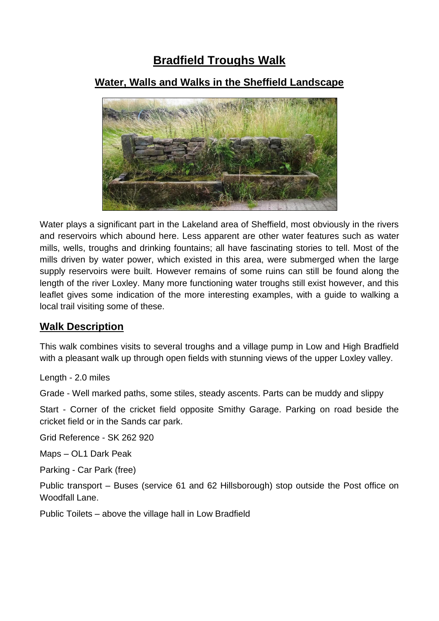# **Bradfield Troughs Walk**

# **Water, Walls and Walks in the Sheffield Landscape**



Water plays a significant part in the Lakeland area of Sheffield, most obviously in the rivers and reservoirs which abound here. Less apparent are other water features such as water mills, wells, troughs and drinking fountains; all have fascinating stories to tell. Most of the mills driven by water power, which existed in this area, were submerged when the large supply reservoirs were built. However remains of some ruins can still be found along the length of the river Loxley. Many more functioning water troughs still exist however, and this leaflet gives some indication of the more interesting examples, with a guide to walking a local trail visiting some of these.

# **Walk Description**

This walk combines visits to several troughs and a village pump in Low and High Bradfield with a pleasant walk up through open fields with stunning views of the upper Loxley valley.

Length - 2.0 miles

Grade - Well marked paths, some stiles, steady ascents. Parts can be muddy and slippy

Start - Corner of the cricket field opposite Smithy Garage. Parking on road beside the cricket field or in the Sands car park.

Grid Reference - SK 262 920

Maps – OL1 Dark Peak

Parking - Car Park (free)

Public transport – Buses (service 61 and 62 Hillsborough) stop outside the Post office on Woodfall Lane

Public Toilets – above the village hall in Low Bradfield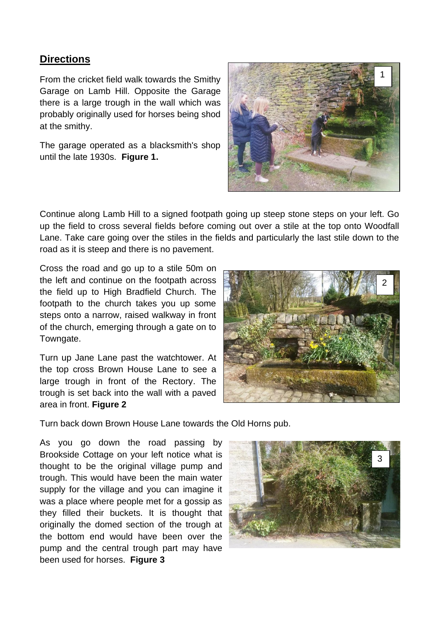### **Directions**

From the cricket field walk towards the Smithy Garage on Lamb Hill. Opposite the Garage there is a large trough in the wall which was probably originally used for horses being shod at the smithy.

The garage operated as a blacksmith's shop until the late 1930s. **Figure 1.**



Continue along Lamb Hill to a signed footpath going up steep stone steps on your left. Go up the field to cross several fields before coming out over a stile at the top onto Woodfall Lane. Take care going over the stiles in the fields and particularly the last stile down to the road as it is steep and there is no pavement.

Cross the road and go up to a stile 50m on the left and continue on the footpath across the field up to High Bradfield Church. The footpath to the church takes you up some steps onto a narrow, raised walkway in front of the church, emerging through a gate on to Towngate.

Turn up Jane Lane past the watchtower. At the top cross Brown House Lane to see a large trough in front of the Rectory. The trough is set back into the wall with a paved area in front. **Figure 2**



Turn back down Brown House Lane towards the Old Horns pub.

As you go down the road passing by Brookside Cottage on your left notice what is thought to be the original village pump and trough. This would have been the main water supply for the village and you can imagine it was a place where people met for a gossip as they filled their buckets. It is thought that originally the domed section of the trough at the bottom end would have been over the pump and the central trough part may have been used for horses. **Figure 3**

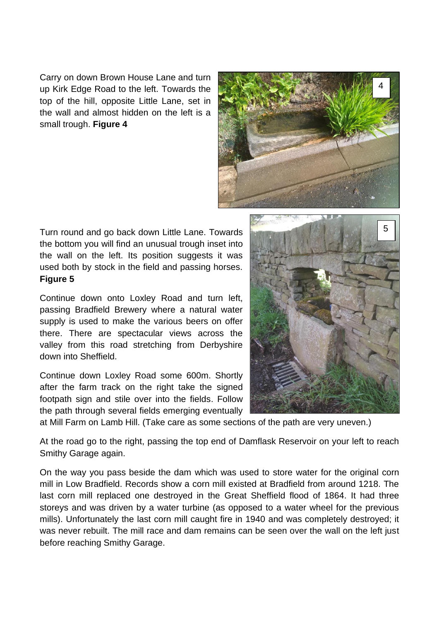Carry on down Brown House Lane and turn up Kirk Edge Road to the left. Towards the top of the hill, opposite Little Lane, set in the wall and almost hidden on the left is a small trough. **Figure 4**



Turn round and go back down Little Lane. Towards the bottom you will find an unusual trough inset into the wall on the left. Its position suggests it was used both by stock in the field and passing horses. **Figure 5**

Continue down onto Loxley Road and turn left, passing Bradfield Brewery where a natural water supply is used to make the various beers on offer there. There are spectacular views across the valley from this road stretching from Derbyshire down into Sheffield.

Continue down Loxley Road some 600m. Shortly after the farm track on the right take the signed footpath sign and stile over into the fields. Follow the path through several fields emerging eventually



at Mill Farm on Lamb Hill. (Take care as some sections of the path are very uneven.)

At the road go to the right, passing the top end of Damflask Reservoir on your left to reach Smithy Garage again.

On the way you pass beside the dam which was used to store water for the original corn mill in Low Bradfield. Records show a corn mill existed at Bradfield from around 1218. The last corn mill replaced one destroyed in the Great Sheffield flood of 1864. It had three storeys and was driven by a water turbine (as opposed to a water wheel for the previous mills). Unfortunately the last corn mill caught fire in 1940 and was completely destroyed; it was never rebuilt. The mill race and dam remains can be seen over the wall on the left just before reaching Smithy Garage.